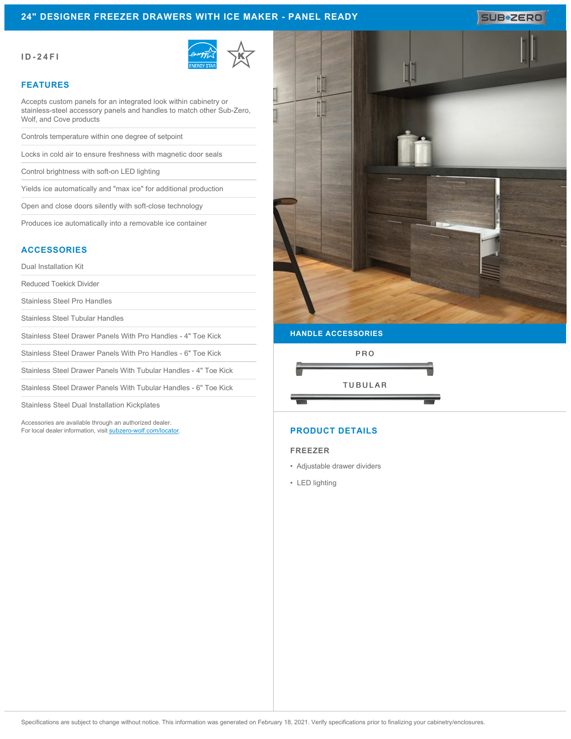## **24" DESIGNER FREEZER DRAWERS WITH ICE MAKER - PANEL READY**

#### **ID-24FI**



### **FEATURES**

Accepts custom panels for an integrated look within cabinetry or stainless-steel accessory panels and handles to match other Sub-Zero, Wolf, and Cove products

Controls temperature within one degree of setpoint

Locks in cold air to ensure freshness with magnetic door seals

Control brightness with soft-on LED lighting

Yields ice automatically and "max ice" for additional production

Open and close doors silently with soft-close technology

Produces ice automatically into a removable ice container

## **ACCESSORIES**

Dual Installation Kit

Reduced Toekick Divider

Stainless Steel Pro Handles

Stainless Steel Tubular Handles

Stainless Steel Drawer Panels With Pro Handles - 4" Toe Kick

Stainless Steel Drawer Panels With Pro Handles - 6" Toe Kick

Stainless Steel Drawer Panels With Tubular Handles - 4" Toe Kick

Stainless Steel Drawer Panels With Tubular Handles - 6" Toe Kick

Stainless Steel Dual Installation Kickplates

Accessories are available through an authorized dealer. For local dealer information, visit [subzero-wolf.com/locator.](http://www.subzero-wolf.com/locator)



SUB<sup>\*</sup>ZERO

# **HANDLE ACCESSORIES**



# **PRODUCT DETAILS**

#### **FREEZER**

- Adjustable drawer dividers
- LED lighting